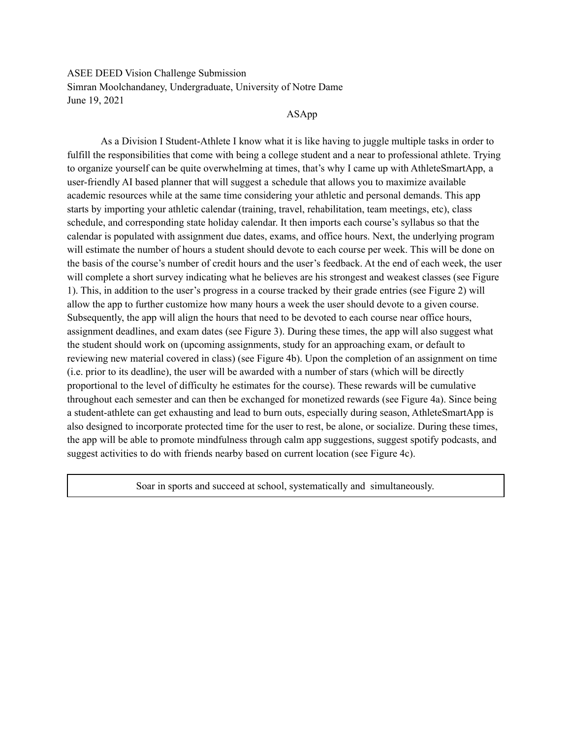ASEE DEED Vision Challenge Submission Simran Moolchandaney, Undergraduate, University of Notre Dame June 19, 2021

### ASApp

As a Division I Student-Athlete I know what it is like having to juggle multiple tasks in order to fulfill the responsibilities that come with being a college student and a near to professional athlete. Trying to organize yourself can be quite overwhelming at times, that's why I came up with AthleteSmartApp, a user-friendly AI based planner that will suggest a schedule that allows you to maximize available academic resources while at the same time considering your athletic and personal demands. This app starts by importing your athletic calendar (training, travel, rehabilitation, team meetings, etc), class schedule, and corresponding state holiday calendar. It then imports each course's syllabus so that the calendar is populated with assignment due dates, exams, and office hours. Next, the underlying program will estimate the number of hours a student should devote to each course per week. This will be done on the basis of the course's number of credit hours and the user's feedback. At the end of each week, the user will complete a short survey indicating what he believes are his strongest and weakest classes (see Figure) 1). This, in addition to the user's progress in a course tracked by their grade entries (see Figure 2) will allow the app to further customize how many hours a week the user should devote to a given course. Subsequently, the app will align the hours that need to be devoted to each course near office hours, assignment deadlines, and exam dates (see Figure 3). During these times, the app will also suggest what the student should work on (upcoming assignments, study for an approaching exam, or default to reviewing new material covered in class) (see Figure 4b). Upon the completion of an assignment on time (i.e. prior to its deadline), the user will be awarded with a number of stars (which will be directly proportional to the level of difficulty he estimates for the course). These rewards will be cumulative throughout each semester and can then be exchanged for monetized rewards (see Figure 4a). Since being a student-athlete can get exhausting and lead to burn outs, especially during season, AthleteSmartApp is also designed to incorporate protected time for the user to rest, be alone, or socialize. During these times, the app will be able to promote mindfulness through calm app suggestions, suggest spotify podcasts, and suggest activities to do with friends nearby based on current location (see Figure 4c).

Soar in sports and succeed at school, systematically and simultaneously.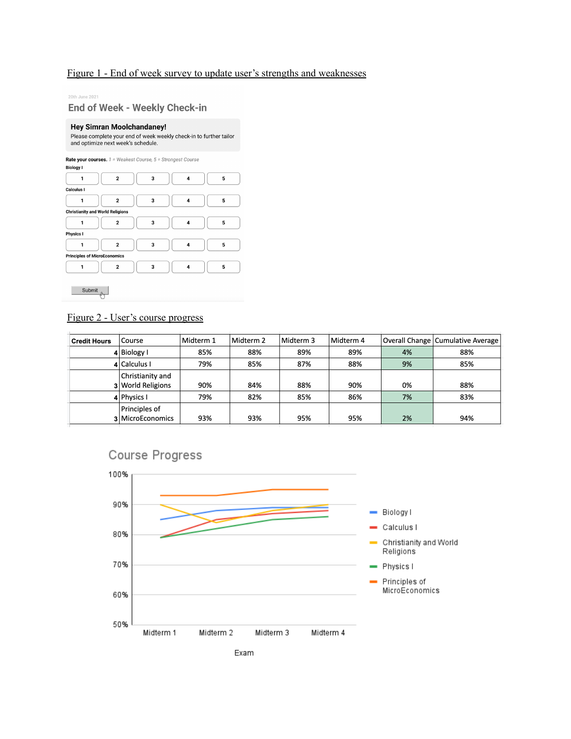#### Figure 1 - End of week survey to update user's strengths and weaknesses

20th June 2021

#### End of Week - Weekly Check-in

#### **Hey Simran Moolchandaney!**

Please complete your end of week weekly check-in to further tailor<br>and optimize next week's schedule.



Submit

#### Figure 2 - User's course progress

| <b>Credit Hours</b> | Course                                | Midterm 1 | Midterm 2 | Midterm 3 | I Midterm 4 |    | Overall Change   Cumulative Average |
|---------------------|---------------------------------------|-----------|-----------|-----------|-------------|----|-------------------------------------|
|                     | 4 Biology I                           | 85%       | 88%       | 89%       | 89%         | 4% | 88%                                 |
|                     | 4 Calculus I                          | 79%       | 85%       | 87%       | 88%         | 9% | 85%                                 |
|                     | Christianity and<br>3 World Religions | 90%       | 84%       | 88%       | 90%         | 0% | 88%                                 |
|                     | 4 Physics I                           | 79%       | 82%       | 85%       | 86%         | 7% | 83%                                 |
|                     | Principles of<br>3 MicroEconomics     | 93%       | 93%       | 95%       | 95%         | 2% | 94%                                 |



# Course Progress